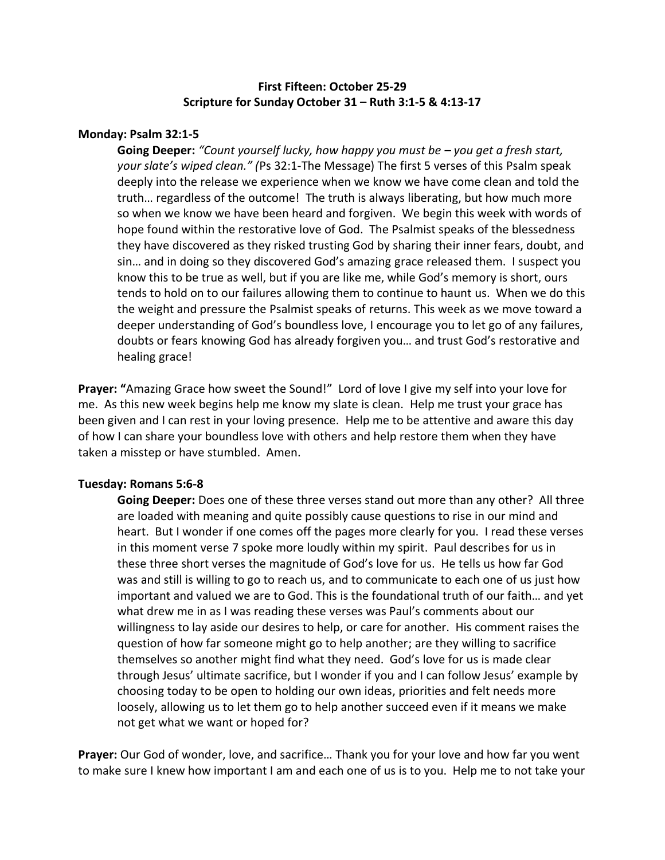# **First Fifteen: October 25-29 Scripture for Sunday October 31 – Ruth 3:1-5 & 4:13-17**

## **Monday: Psalm 32:1-5**

**Going Deeper:** *"Count yourself lucky, how happy you must be – you get a fresh start, your slate's wiped clean." (*Ps 32:1-The Message) The first 5 verses of this Psalm speak deeply into the release we experience when we know we have come clean and told the truth… regardless of the outcome! The truth is always liberating, but how much more so when we know we have been heard and forgiven. We begin this week with words of hope found within the restorative love of God. The Psalmist speaks of the blessedness they have discovered as they risked trusting God by sharing their inner fears, doubt, and sin… and in doing so they discovered God's amazing grace released them. I suspect you know this to be true as well, but if you are like me, while God's memory is short, ours tends to hold on to our failures allowing them to continue to haunt us. When we do this the weight and pressure the Psalmist speaks of returns. This week as we move toward a deeper understanding of God's boundless love, I encourage you to let go of any failures, doubts or fears knowing God has already forgiven you… and trust God's restorative and healing grace!

**Prayer: "**Amazing Grace how sweet the Sound!" Lord of love I give my self into your love for me. As this new week begins help me know my slate is clean. Help me trust your grace has been given and I can rest in your loving presence. Help me to be attentive and aware this day of how I can share your boundless love with others and help restore them when they have taken a misstep or have stumbled. Amen.

### **Tuesday: Romans 5:6-8**

**Going Deeper:** Does one of these three verses stand out more than any other? All three are loaded with meaning and quite possibly cause questions to rise in our mind and heart. But I wonder if one comes off the pages more clearly for you. I read these verses in this moment verse 7 spoke more loudly within my spirit. Paul describes for us in these three short verses the magnitude of God's love for us. He tells us how far God was and still is willing to go to reach us, and to communicate to each one of us just how important and valued we are to God. This is the foundational truth of our faith… and yet what drew me in as I was reading these verses was Paul's comments about our willingness to lay aside our desires to help, or care for another. His comment raises the question of how far someone might go to help another; are they willing to sacrifice themselves so another might find what they need. God's love for us is made clear through Jesus' ultimate sacrifice, but I wonder if you and I can follow Jesus' example by choosing today to be open to holding our own ideas, priorities and felt needs more loosely, allowing us to let them go to help another succeed even if it means we make not get what we want or hoped for?

**Prayer:** Our God of wonder, love, and sacrifice… Thank you for your love and how far you went to make sure I knew how important I am and each one of us is to you. Help me to not take your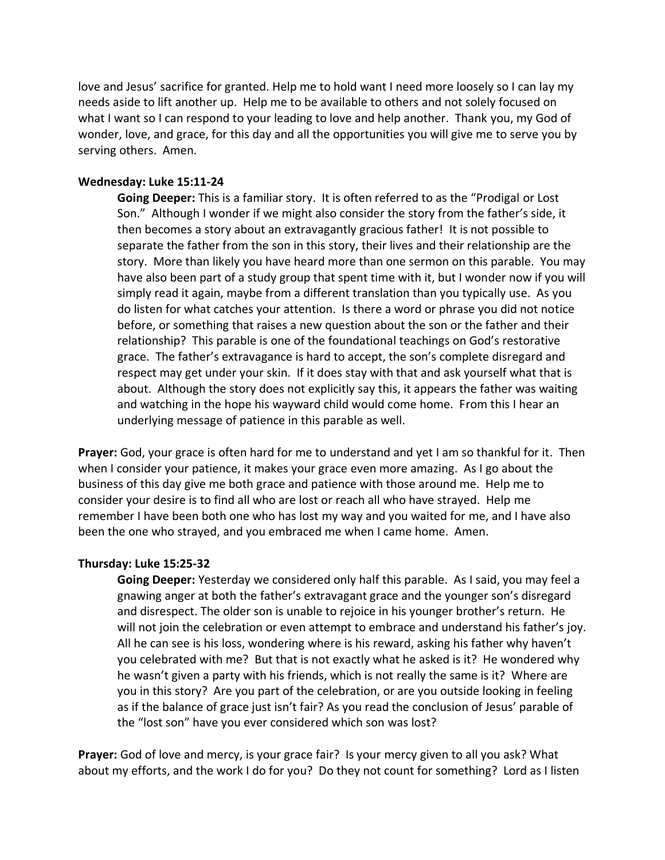love and Jesus' sacrifice for granted. Help me to hold want I need more loosely so I can lay my needs aside to lift another up. Help me to be available to others and not solely focused on what I want so I can respond to your leading to love and help another. Thank you, my God of wonder, love, and grace, for this day and all the opportunities you will give me to serve you by serving others. Amen.

## **Wednesday: Luke 15:11-24**

**Going Deeper:** This is a familiar story. It is often referred to as the "Prodigal or Lost Son." Although I wonder if we might also consider the story from the father's side, it then becomes a story about an extravagantly gracious father! It is not possible to separate the father from the son in this story, their lives and their relationship are the story. More than likely you have heard more than one sermon on this parable. You may have also been part of a study group that spent time with it, but I wonder now if you will simply read it again, maybe from a different translation than you typically use. As you do listen for what catches your attention. Is there a word or phrase you did not notice before, or something that raises a new question about the son or the father and their relationship? This parable is one of the foundational teachings on God's restorative grace. The father's extravagance is hard to accept, the son's complete disregard and respect may get under your skin. If it does stay with that and ask yourself what that is about. Although the story does not explicitly say this, it appears the father was waiting and watching in the hope his wayward child would come home. From this I hear an underlying message of patience in this parable as well.

**Prayer:** God, your grace is often hard for me to understand and yet I am so thankful for it. Then when I consider your patience, it makes your grace even more amazing. As I go about the business of this day give me both grace and patience with those around me. Help me to consider your desire is to find all who are lost or reach all who have strayed. Help me remember I have been both one who has lost my way and you waited for me, and I have also been the one who strayed, and you embraced me when I came home. Amen.

## **Thursday: Luke 15:25-32**

**Going Deeper:** Yesterday we considered only half this parable. As I said, you may feel a gnawing anger at both the father's extravagant grace and the younger son's disregard and disrespect. The older son is unable to rejoice in his younger brother's return. He will not join the celebration or even attempt to embrace and understand his father's joy. All he can see is his loss, wondering where is his reward, asking his father why haven't you celebrated with me? But that is not exactly what he asked is it? He wondered why he wasn't given a party with his friends, which is not really the same is it? Where are you in this story? Are you part of the celebration, or are you outside looking in feeling as if the balance of grace just isn't fair? As you read the conclusion of Jesus' parable of the "lost son" have you ever considered which son was lost?

**Prayer:** God of love and mercy, is your grace fair? Is your mercy given to all you ask? What about my efforts, and the work I do for you? Do they not count for something? Lord as I listen